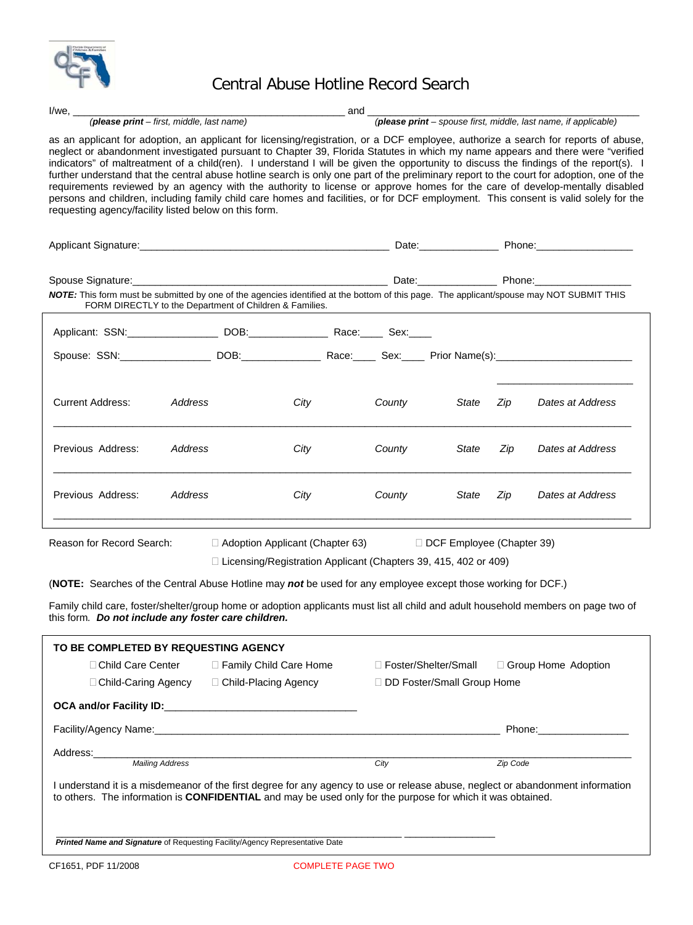

## Central Abuse Hotline Record Search

| $I/we, \_\_$                                                                                                                                                                                                                                                                                                                                                                                                                                                                              |                                                                                                              | <u>and and</u>                                     |        |                                                        |          |                                                                                                                                                                                                                                                                                                                                                                                                                                                                                                                                                                                                                                                                                                                                                                                                                                  |
|-------------------------------------------------------------------------------------------------------------------------------------------------------------------------------------------------------------------------------------------------------------------------------------------------------------------------------------------------------------------------------------------------------------------------------------------------------------------------------------------|--------------------------------------------------------------------------------------------------------------|----------------------------------------------------|--------|--------------------------------------------------------|----------|----------------------------------------------------------------------------------------------------------------------------------------------------------------------------------------------------------------------------------------------------------------------------------------------------------------------------------------------------------------------------------------------------------------------------------------------------------------------------------------------------------------------------------------------------------------------------------------------------------------------------------------------------------------------------------------------------------------------------------------------------------------------------------------------------------------------------------|
|                                                                                                                                                                                                                                                                                                                                                                                                                                                                                           | (please print - first, middle, last name)<br>(please print - spouse first, middle, last name, if applicable) |                                                    |        |                                                        |          |                                                                                                                                                                                                                                                                                                                                                                                                                                                                                                                                                                                                                                                                                                                                                                                                                                  |
| requesting agency/facility listed below on this form.                                                                                                                                                                                                                                                                                                                                                                                                                                     |                                                                                                              |                                                    |        |                                                        |          | as an applicant for adoption, an applicant for licensing/registration, or a DCF employee, authorize a search for reports of abuse,<br>neglect or abandonment investigated pursuant to Chapter 39, Florida Statutes in which my name appears and there were "verified<br>indicators" of maltreatment of a child(ren). I understand I will be given the opportunity to discuss the findings of the report(s). I<br>further understand that the central abuse hotline search is only one part of the preliminary report to the court for adoption, one of the<br>requirements reviewed by an agency with the authority to license or approve homes for the care of develop-mentally disabled<br>persons and children, including family child care homes and facilities, or for DCF employment. This consent is valid solely for the |
| Applicant Signature: <u>Contract Communication of Date: Contract Communication of Phone: Communication of Phone:</u>                                                                                                                                                                                                                                                                                                                                                                      |                                                                                                              |                                                    |        |                                                        |          |                                                                                                                                                                                                                                                                                                                                                                                                                                                                                                                                                                                                                                                                                                                                                                                                                                  |
|                                                                                                                                                                                                                                                                                                                                                                                                                                                                                           |                                                                                                              |                                                    |        |                                                        |          |                                                                                                                                                                                                                                                                                                                                                                                                                                                                                                                                                                                                                                                                                                                                                                                                                                  |
| NOTE: This form must be submitted by one of the agencies identified at the bottom of this page. The applicant/spouse may NOT SUBMIT THIS                                                                                                                                                                                                                                                                                                                                                  | FORM DIRECTLY to the Department of Children & Families.                                                      |                                                    |        |                                                        |          |                                                                                                                                                                                                                                                                                                                                                                                                                                                                                                                                                                                                                                                                                                                                                                                                                                  |
| Applicant: SSN: _____________________ DOB: ______________________ Race: ______ Sex: _____                                                                                                                                                                                                                                                                                                                                                                                                 |                                                                                                              |                                                    |        |                                                        |          |                                                                                                                                                                                                                                                                                                                                                                                                                                                                                                                                                                                                                                                                                                                                                                                                                                  |
|                                                                                                                                                                                                                                                                                                                                                                                                                                                                                           |                                                                                                              |                                                    |        |                                                        |          |                                                                                                                                                                                                                                                                                                                                                                                                                                                                                                                                                                                                                                                                                                                                                                                                                                  |
| <b>Current Address:</b>                                                                                                                                                                                                                                                                                                                                                                                                                                                                   | Address                                                                                                      | City                                               | County | State                                                  | Zip      | Dates at Address                                                                                                                                                                                                                                                                                                                                                                                                                                                                                                                                                                                                                                                                                                                                                                                                                 |
| Previous Address:                                                                                                                                                                                                                                                                                                                                                                                                                                                                         | Address                                                                                                      | City                                               | County | State                                                  | Zip      | Dates at Address                                                                                                                                                                                                                                                                                                                                                                                                                                                                                                                                                                                                                                                                                                                                                                                                                 |
| Previous Address:                                                                                                                                                                                                                                                                                                                                                                                                                                                                         | Address                                                                                                      | City                                               | County | State                                                  | Zip      | Dates at Address                                                                                                                                                                                                                                                                                                                                                                                                                                                                                                                                                                                                                                                                                                                                                                                                                 |
| Reason for Record Search:<br>$\Box$ DCF Employee (Chapter 39)<br>$\Box$ Adoption Applicant (Chapter 63)<br>□ Licensing/Registration Applicant (Chapters 39, 415, 402 or 409)<br>(NOTE: Searches of the Central Abuse Hotline may not be used for any employee except those working for DCF.)<br>Family child care, foster/shelter/group home or adoption applicants must list all child and adult household members on page two of<br>this form. Do not include any foster care children. |                                                                                                              |                                                    |        |                                                        |          |                                                                                                                                                                                                                                                                                                                                                                                                                                                                                                                                                                                                                                                                                                                                                                                                                                  |
| TO BE COMPLETED BY REQUESTING AGENCY                                                                                                                                                                                                                                                                                                                                                                                                                                                      |                                                                                                              |                                                    |        |                                                        |          |                                                                                                                                                                                                                                                                                                                                                                                                                                                                                                                                                                                                                                                                                                                                                                                                                                  |
| □ Child Care Center<br>□ Child-Caring Agency                                                                                                                                                                                                                                                                                                                                                                                                                                              |                                                                                                              | □ Family Child Care Home<br>□ Child-Placing Agency |        | □ Foster/Shelter/Small<br>□ DD Foster/Small Group Home |          | □ Group Home Adoption                                                                                                                                                                                                                                                                                                                                                                                                                                                                                                                                                                                                                                                                                                                                                                                                            |
|                                                                                                                                                                                                                                                                                                                                                                                                                                                                                           |                                                                                                              |                                                    |        |                                                        |          |                                                                                                                                                                                                                                                                                                                                                                                                                                                                                                                                                                                                                                                                                                                                                                                                                                  |
|                                                                                                                                                                                                                                                                                                                                                                                                                                                                                           |                                                                                                              |                                                    |        |                                                        |          | Phone: the contract of the contract of the contract of the contract of the contract of the contract of the contract of the contract of the contract of the contract of the contract of the contract of the contract of the con                                                                                                                                                                                                                                                                                                                                                                                                                                                                                                                                                                                                   |
| Address:                                                                                                                                                                                                                                                                                                                                                                                                                                                                                  | Mailing Address                                                                                              |                                                    | City   |                                                        | Zip Code |                                                                                                                                                                                                                                                                                                                                                                                                                                                                                                                                                                                                                                                                                                                                                                                                                                  |
| to others. The information is CONFIDENTIAL and may be used only for the purpose for which it was obtained.                                                                                                                                                                                                                                                                                                                                                                                |                                                                                                              |                                                    |        |                                                        |          | I understand it is a misdemeanor of the first degree for any agency to use or release abuse, neglect or abandonment information                                                                                                                                                                                                                                                                                                                                                                                                                                                                                                                                                                                                                                                                                                  |
|                                                                                                                                                                                                                                                                                                                                                                                                                                                                                           | Printed Name and Signature of Requesting Facility/Agency Representative Date                                 |                                                    |        |                                                        |          |                                                                                                                                                                                                                                                                                                                                                                                                                                                                                                                                                                                                                                                                                                                                                                                                                                  |
| CF1651, PDF 11/2008<br><b>COMPLETE PAGE TWO</b>                                                                                                                                                                                                                                                                                                                                                                                                                                           |                                                                                                              |                                                    |        |                                                        |          |                                                                                                                                                                                                                                                                                                                                                                                                                                                                                                                                                                                                                                                                                                                                                                                                                                  |